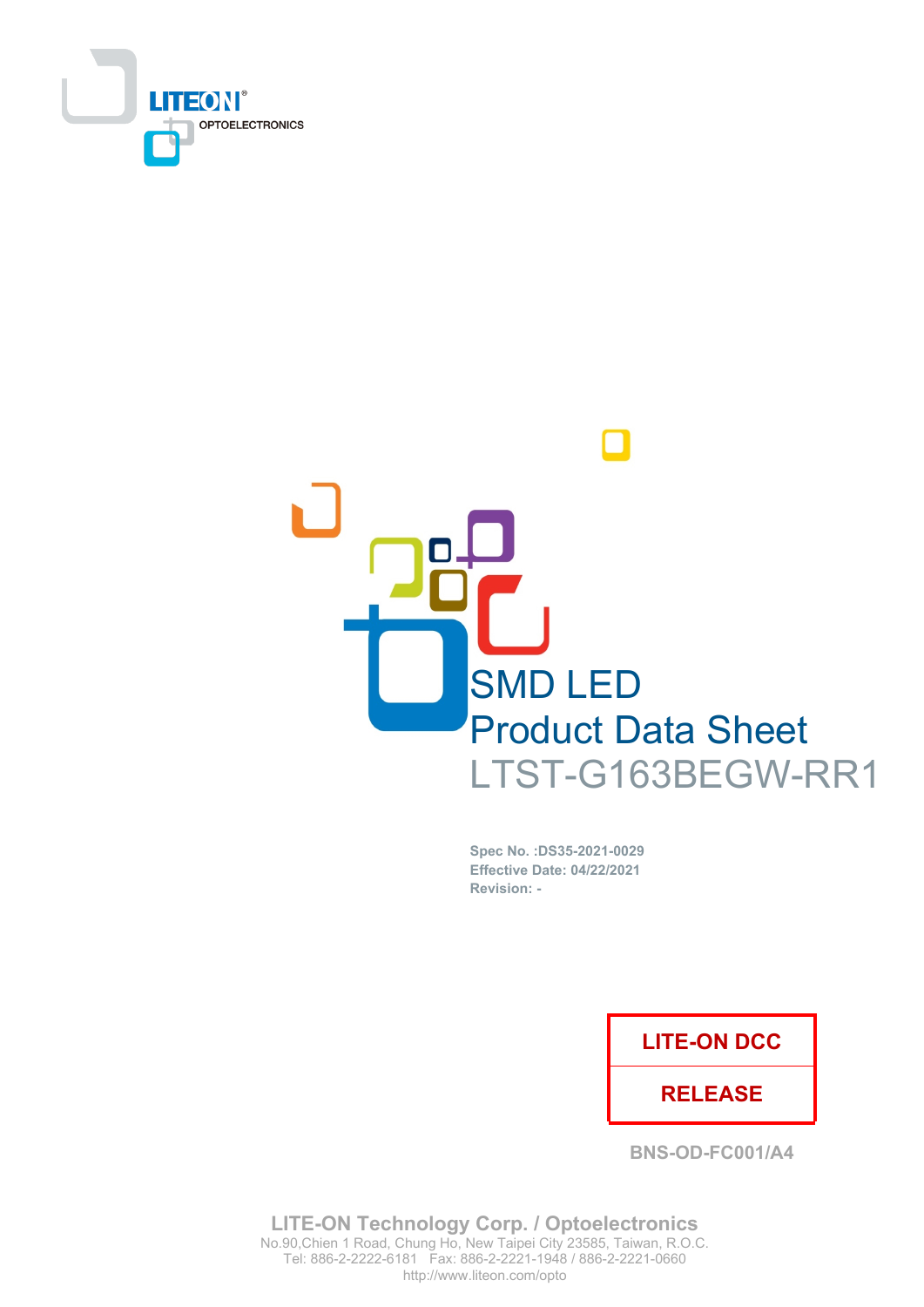



Spec No. : DS35-2021-0029 **Effective Date: 04/22/2021** Revision: -

## **LITE-ON DCC**

## **RELEASE**

**BNS-OD-FC001/A4** 

**LITE-ON Technology Corp. / Optoelectronics** No.90, Chien 1 Road, Chung Ho, New Taipei City 23585, Taiwan, R.O.C. Tel: 886-2-2222-6181 Fax: 886-2-2221-1948 / 886-2-2221-0660 http://www.liteon.com/opto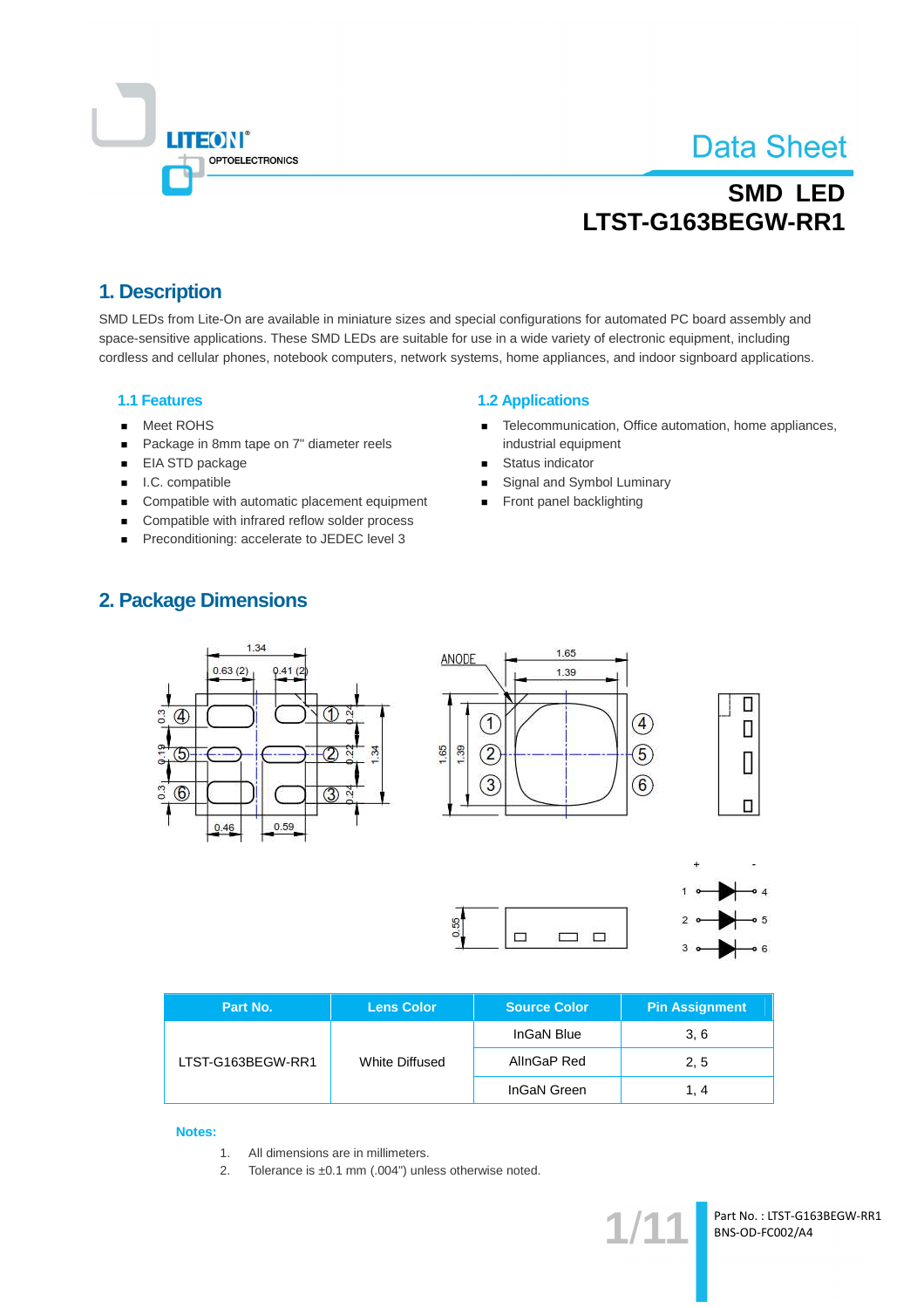

# **SMD LED** LTST-G163BEGW-RR1

## 1. Description

SMD LEDs from Lite-On are available in miniature sizes and special configurations for automated PC board assembly and space-sensitive applications. These SMD LEDs are suitable for use in a wide variety of electronic equipment, including cordless and cellular phones, notebook computers, network systems, home appliances, and indoor signboard applications.

### **1.1 Features**

- Meet ROHS  $\blacksquare$
- Package in 8mm tape on 7" diameter reels  $\blacksquare$
- EIA STD package  $\blacksquare$
- $\blacksquare$ I.C. compatible
- Compatible with automatic placement equipment  $\blacksquare$
- Compatible with infrared reflow solder process  $\blacksquare$
- Preconditioning: accelerate to JEDEC level 3

### **1.2 Applications**

- Telecommunication, Office automation, home appliances,  $\blacksquare$ industrial equipment
- Status indicator  $\blacksquare$
- Signal and Symbol Luminary
- Front panel backlighting

### **2. Package Dimensions**







| Part No.          | <b>Lens Color</b> | <b>Source Color</b> | <b>Pin Assignment</b> |  |
|-------------------|-------------------|---------------------|-----------------------|--|
| LTST-G163BEGW-RR1 |                   | InGaN Blue          | 3.6                   |  |
|                   | White Diffused    | AllnGaP Red         | 2, 5                  |  |
|                   |                   | InGaN Green         | 1. 4                  |  |

0.55

#### **Notes:**

- All dimensions are in millimeters.  $1<sup>1</sup>$
- $2.$ Tolerance is ±0.1 mm (.004") unless otherwise noted.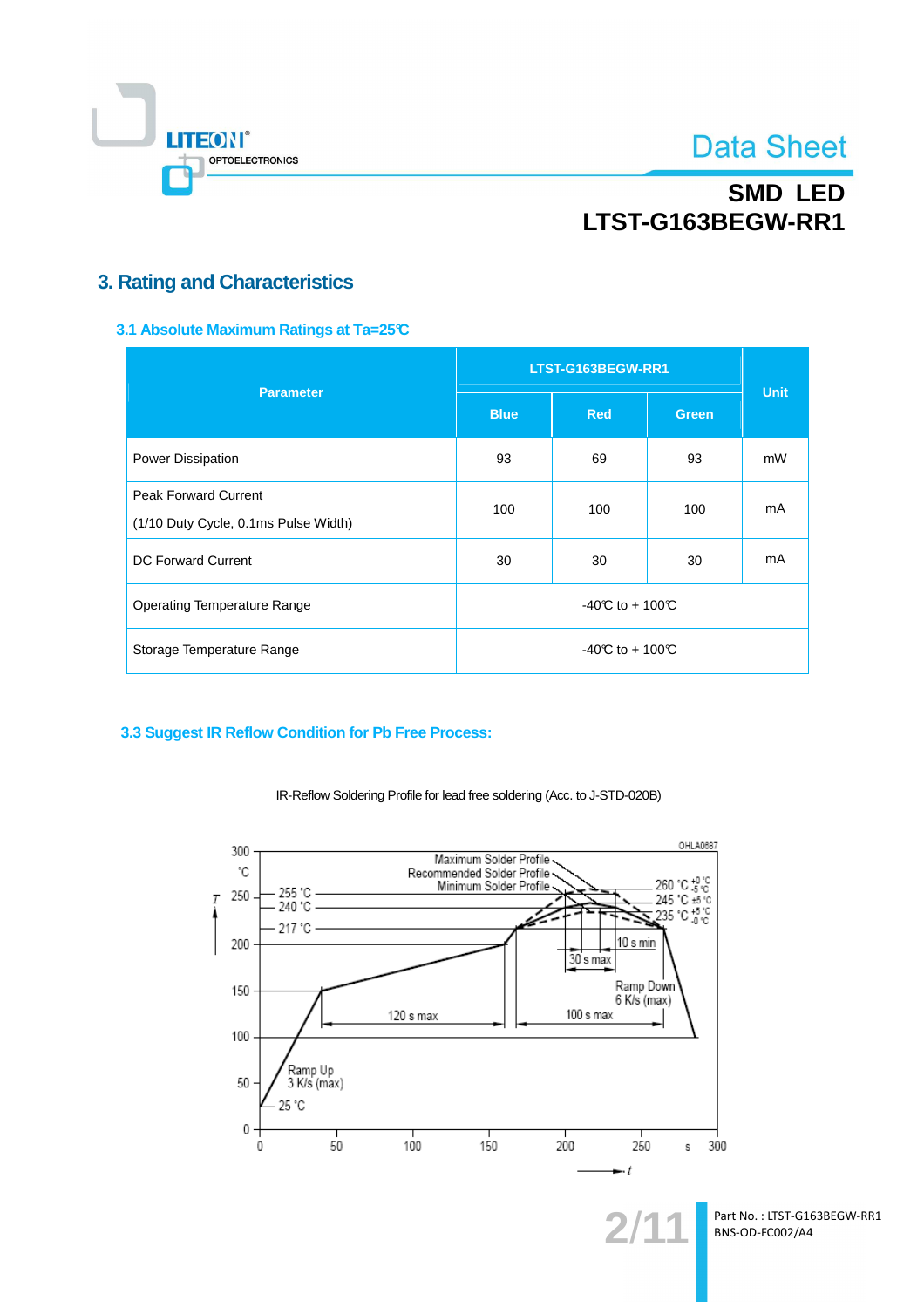

# **SMD LED** LTST-G163BEGW-RR1

## **3. Rating and Characteristics**

3.1 Absolute Maximum Ratings at Ta=25°C

| <b>Parameter</b>                                                    | LTST-G163BEGW-RR1 | <b>Unit</b>      |              |    |  |
|---------------------------------------------------------------------|-------------------|------------------|--------------|----|--|
|                                                                     | <b>Blue</b>       | <b>Red</b>       | <b>Green</b> |    |  |
| Power Dissipation                                                   | 93                | 69               | 93           | mW |  |
| <b>Peak Forward Current</b><br>(1/10 Duty Cycle, 0.1ms Pulse Width) | 100               | 100              | 100          | mA |  |
| DC Forward Current                                                  | 30                | 30               | 30           | mA |  |
| <b>Operating Temperature Range</b>                                  | -40°C to + 100°C  |                  |              |    |  |
| Storage Temperature Range                                           |                   | -40°C to + 100°C |              |    |  |

### 3.3 Suggest IR Reflow Condition for Pb Free Process:



IR-Reflow Soldering Profile for lead free soldering (Acc. to J-STD-020B)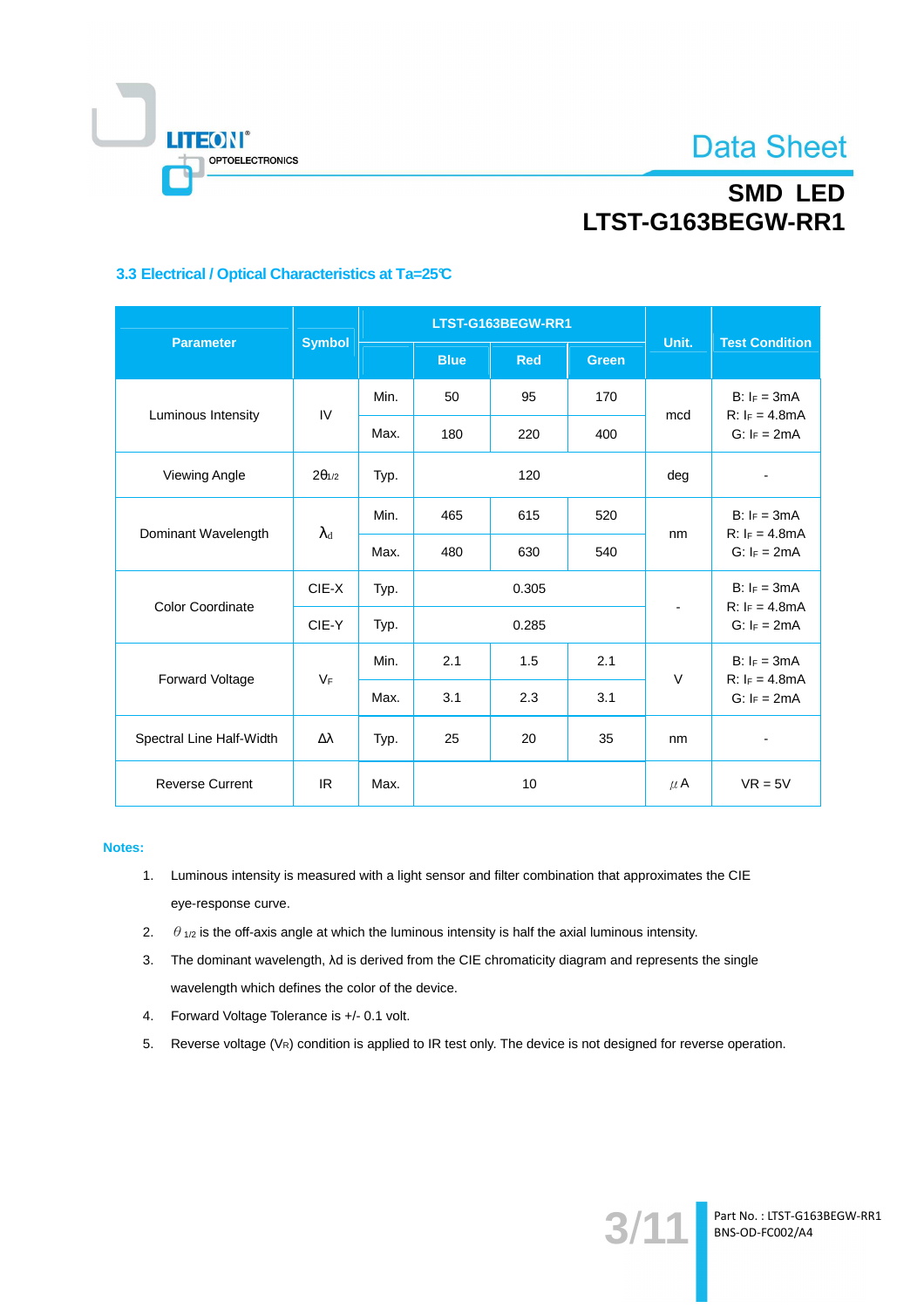

# **SMD LED** LTST-G163BEGW-RR1

### 3.3 Electrical / Optical Characteristics at Ta=25°C

|                          | <b>Symbol</b>     | LTST-G163BEGW-RR1 |             |            |              | Unit.     | <b>Test Condition</b>                                |  |
|--------------------------|-------------------|-------------------|-------------|------------|--------------|-----------|------------------------------------------------------|--|
| <b>Parameter</b>         |                   |                   | <b>Blue</b> | <b>Red</b> | <b>Green</b> |           |                                                      |  |
| Luminous Intensity       | IV                | Min.              | 50          | 95         | 170          | mcd       | $B: I_F = 3mA$<br>$R: I_F = 4.8mA$                   |  |
|                          |                   | Max.              | 180         | 220        | 400          |           | $G: I_F = 2mA$                                       |  |
| Viewing Angle            | $2\theta_{1/2}$   | Typ.              | 120         |            | deg          |           |                                                      |  |
| Dominant Wavelength      | $\lambda_{\rm d}$ | Min.              | 465         | 615        | 520          | nm        | $B: I_F = 3mA$<br>$R: I_F = 4.8mA$<br>$G: I_F = 2mA$ |  |
|                          |                   | Max.              | 480         | 630        | 540          |           |                                                      |  |
|                          | CIE-X             | Typ.              | 0.305       |            |              |           | $B: I_F = 3mA$                                       |  |
| <b>Color Coordinate</b>  | CIE-Y             | Typ.              | 0.285       |            |              |           | $R: I_F = 4.8mA$<br>$G: I_F = 2mA$                   |  |
|                          | $V_F$             | Min.              | 2.1         | 1.5        | 2.1          | $\vee$    | $B: I_F = 3mA$<br>$R: I_F = 4.8mA$<br>$G: I_F = 2mA$ |  |
| Forward Voltage          |                   | Max.              | 3.1         | 2.3        | 3.1          |           |                                                      |  |
| Spectral Line Half-Width | Δλ                | Typ.              | 25          | 20         | 35           | nm        |                                                      |  |
| <b>Reverse Current</b>   | IR.               | Max.              | 10          |            | $\mu$ A      | $VR = 5V$ |                                                      |  |

### Notes:

- 1. Luminous intensity is measured with a light sensor and filter combination that approximates the CIE eye-response curve.
- 2.  $\theta_{1/2}$  is the off-axis angle at which the luminous intensity is half the axial luminous intensity.
- 3. The dominant wavelength,  $\lambda$ d is derived from the CIE chromaticity diagram and represents the single wavelength which defines the color of the device.
- 4. Forward Voltage Tolerance is +/- 0.1 volt.
- 5. Reverse voltage (VR) condition is applied to IR test only. The device is not designed for reverse operation.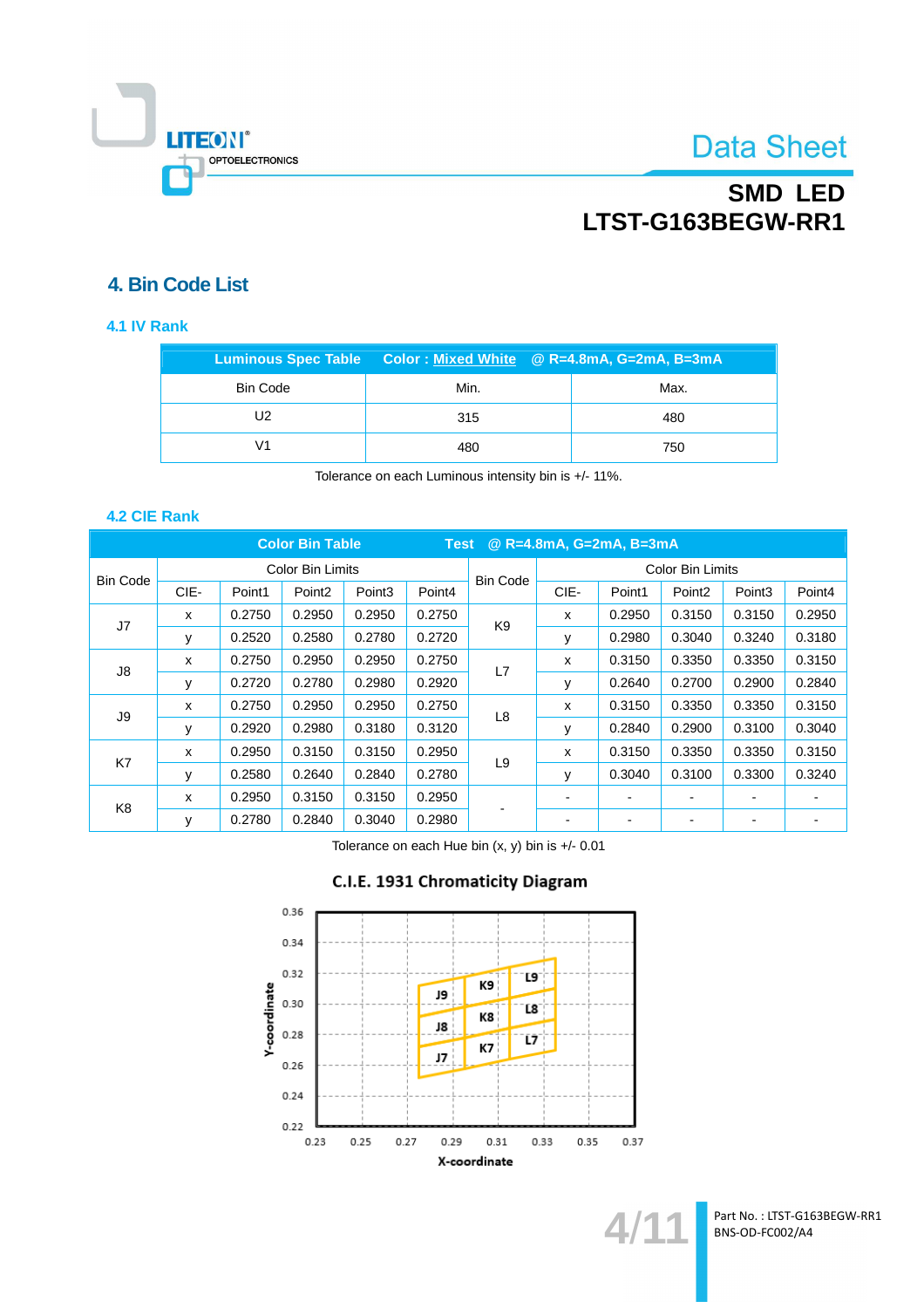

# **SMD LED** LTST-G163BEGW-RR1

## 4. Bin Code List

### 4.1 IV Rank

|                 | Luminous Spec Table  Color : Mixed White  @ R=4.8mA, G=2mA, B=3mA |  |      |
|-----------------|-------------------------------------------------------------------|--|------|
| <b>Bin Code</b> | Min.                                                              |  | Max. |
| U2              | 315                                                               |  | 480  |
|                 | 480                                                               |  | 750  |

Tolerance on each Luminous intensity bin is +/- 11%.

### 4.2 CIE Rank

| <b>Color Bin Table</b><br>@ R=4.8mA, G=2mA, B=3mA<br><b>Test</b> |      |        |                    |                    |        |                 |                         |                |                    |                    |        |
|------------------------------------------------------------------|------|--------|--------------------|--------------------|--------|-----------------|-------------------------|----------------|--------------------|--------------------|--------|
|                                                                  |      |        | Color Bin Limits   |                    |        | <b>Bin Code</b> | <b>Color Bin Limits</b> |                |                    |                    |        |
| <b>Bin Code</b>                                                  | CIE- | Point1 | Point <sub>2</sub> | Point <sub>3</sub> | Point4 |                 | CIE-                    | Point1         | Point <sub>2</sub> | Point <sub>3</sub> | Point4 |
| J7                                                               | X    | 0.2750 | 0.2950             | 0.2950             | 0.2750 |                 | X                       | 0.2950         | 0.3150             | 0.3150             | 0.2950 |
|                                                                  | у    | 0.2520 | 0.2580             | 0.2780             | 0.2720 | K <sub>9</sub>  | у                       | 0.2980         | 0.3040             | 0.3240             | 0.3180 |
|                                                                  | x    | 0.2750 | 0.2950             | 0.2950             | 0.2750 | L7              | x                       | 0.3150         | 0.3350             | 0.3350             | 0.3150 |
| J8                                                               | y    | 0.2720 | 0.2780             | 0.2980             | 0.2920 |                 | у                       | 0.2640         | 0.2700             | 0.2900             | 0.2840 |
| J9                                                               | x    | 0.2750 | 0.2950             | 0.2950             | 0.2750 | L <sub>8</sub>  | x                       | 0.3150         | 0.3350             | 0.3350             | 0.3150 |
|                                                                  | у    | 0.2920 | 0.2980             | 0.3180             | 0.3120 |                 | у                       | 0.2840         | 0.2900             | 0.3100             | 0.3040 |
| K7                                                               | X    | 0.2950 | 0.3150             | 0.3150             | 0.2950 | L9              | x                       | 0.3150         | 0.3350             | 0.3350             | 0.3150 |
|                                                                  | ٧    | 0.2580 | 0.2640             | 0.2840             | 0.2780 |                 | y                       | 0.3040         | 0.3100             | 0.3300             | 0.3240 |
| K <sub>8</sub>                                                   | x    | 0.2950 | 0.3150             | 0.3150             | 0.2950 |                 | ۰                       | $\blacksquare$ | ۰                  |                    |        |
|                                                                  | ٧    | 0.2780 | 0.2840             | 0.3040             | 0.2980 |                 | -                       | $\blacksquare$ |                    |                    |        |

Tolerance on each Hue bin  $(x, y)$  bin is  $+/$ - 0.01



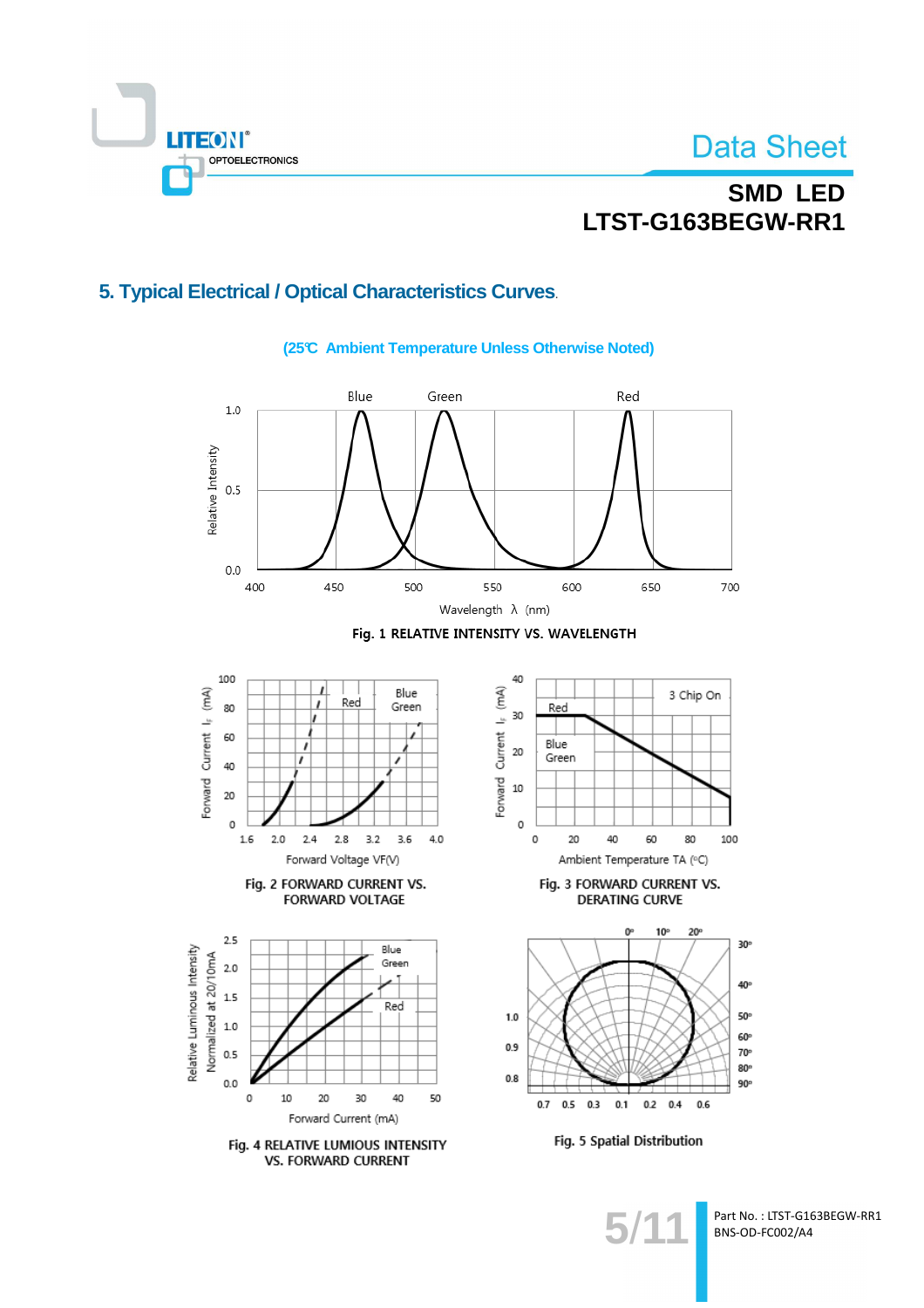

# **SMD LED** LTST-G163BEGW-RR1

## 5. Typical Electrical / Optical Characteristics Curves.



### (25℃ Ambient Temperature Unless Otherwise Noted)

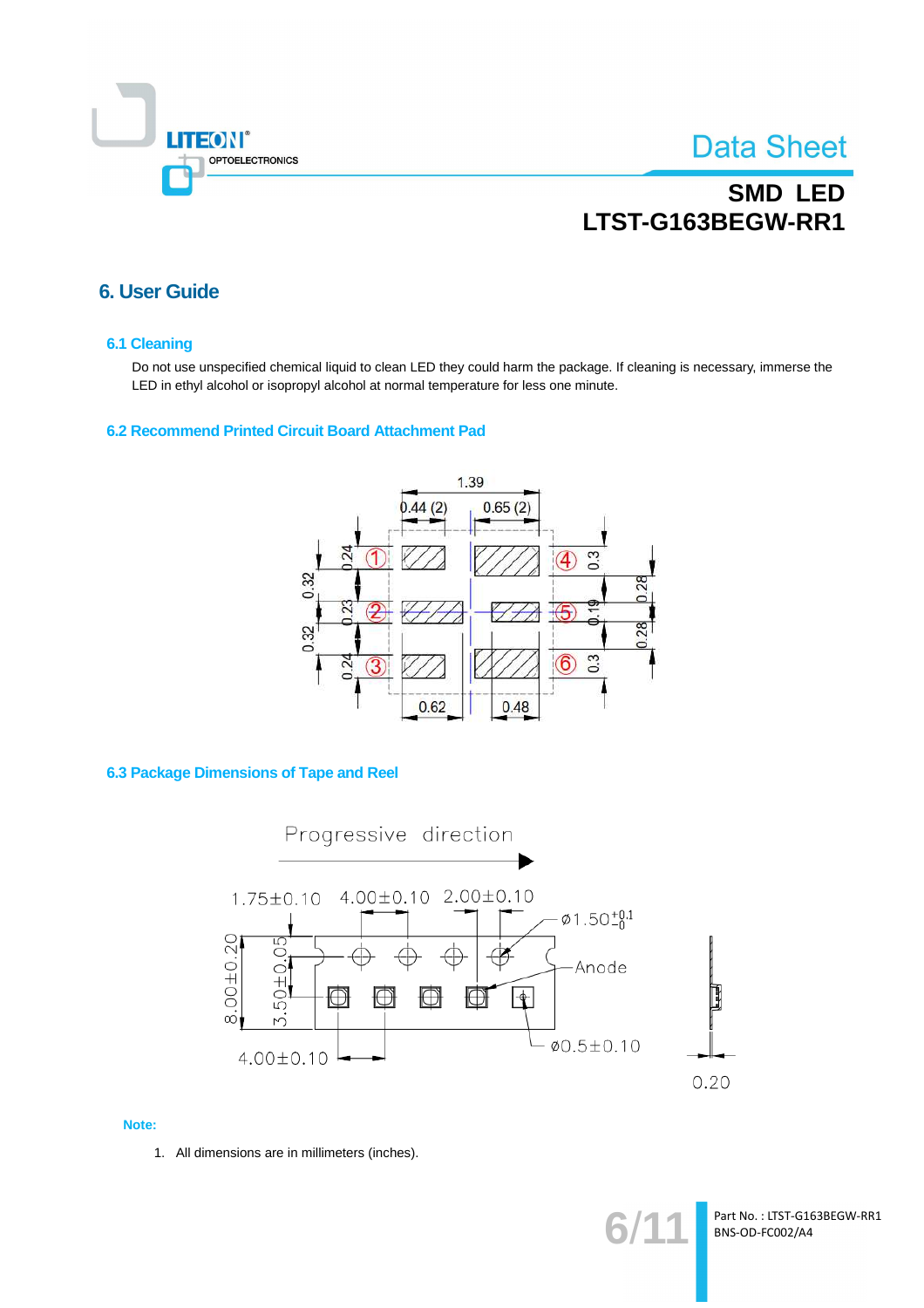

# **SMD LED** LTST-G163BEGW-RR1

### **6. User Guide**

#### **6.1 Cleaning**

Do not use unspecified chemical liquid to clean LED they could harm the package. If cleaning is necessary, immerse the LED in ethyl alcohol or isopropyl alcohol at normal temperature for less one minute.

#### 6.2 Recommend Printed Circuit Board Attachment Pad



**6.3 Package Dimensions of Tape and Reel** 



#### Note:

1. All dimensions are in millimeters (inches).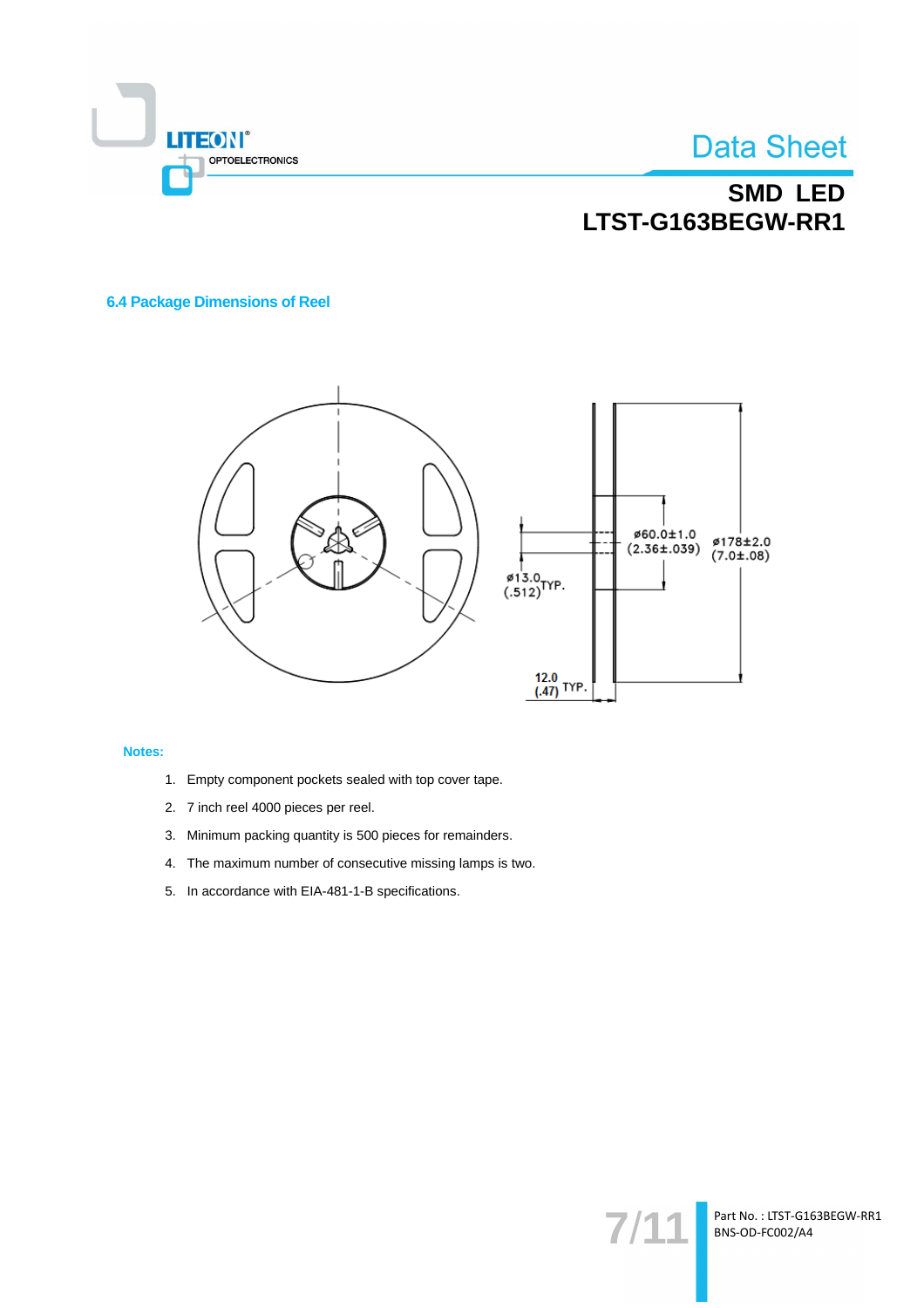

## **SMD LED** LTST-G163BEGW-RR1

### **6.4 Package Dimensions of Reel**



#### Notes:

- 1. Empty component pockets sealed with top cover tape.
- 2. 7 inch reel 4000 pieces per reel.
- 3. Minimum packing quantity is 500 pieces for remainders.
- 4. The maximum number of consecutive missing lamps is two.
- 5. In accordance with EIA-481-1-B specifications.

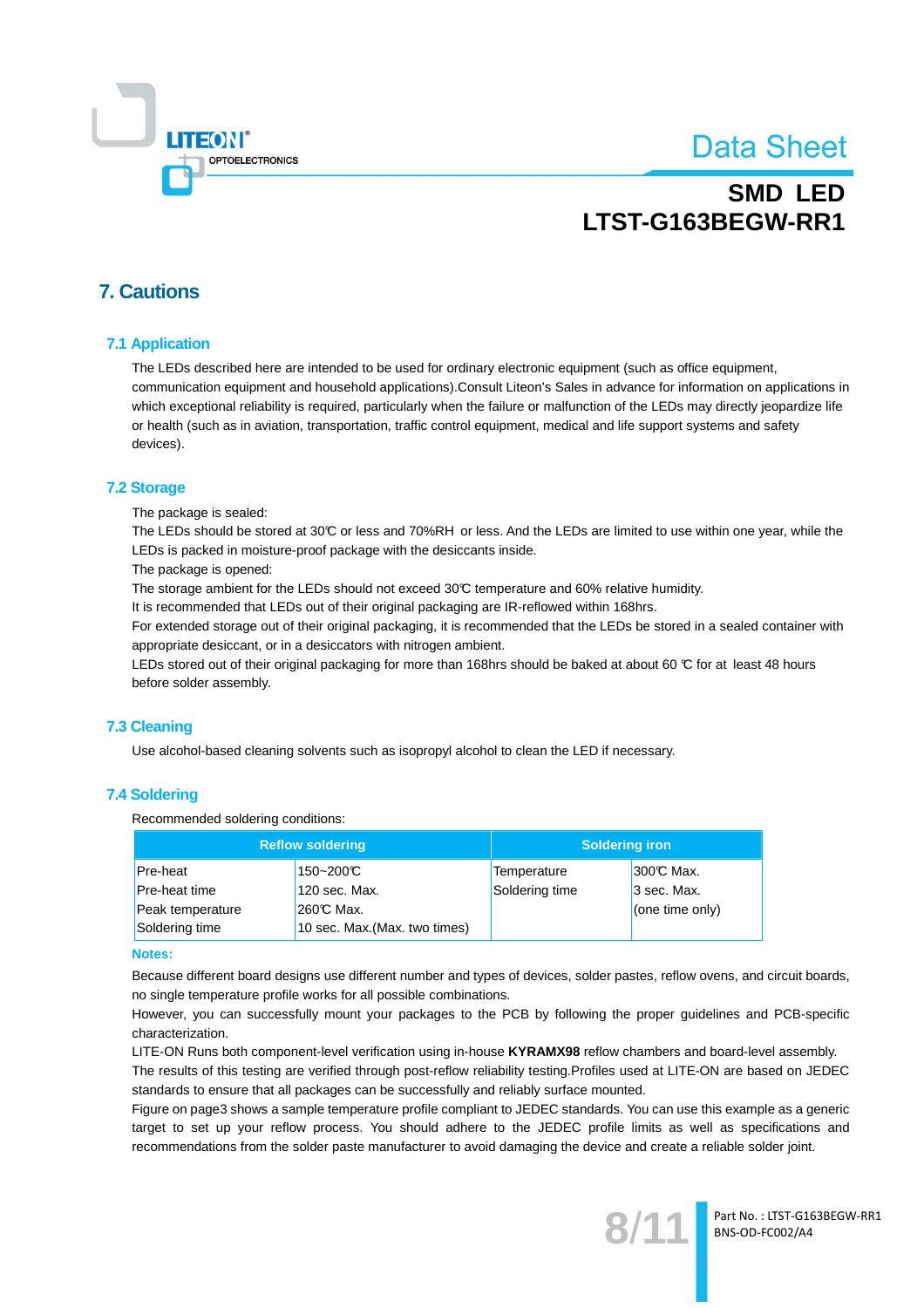

## **SMD LED** LTST-G163BEGW-RR1

### **7. Cautions**

### **7.1 Application**

The LEDs described here are intended to be used for ordinary electronic equipment (such as office equipment, communication equipment and household applications). Consult Liteon's Sales in advance for information on applications in which exceptional reliability is required, particularly when the failure or malfunction of the LEDs may directly jeopardize life or health (such as in aviation, transportation, traffic control equipment, medical and life support systems and safety devices).

#### **7.2 Storage**

The package is sealed:

The LEDs should be stored at 30°C or less and 70%RH or less. And the LEDs are limited to use within one year, while the LEDs is packed in moisture-proof package with the desiccants inside.

The package is opened:

The storage ambient for the LEDs should not exceed 30°C temperature and 60% relative humidity.

It is recommended that LEDs out of their original packaging are IR-reflowed within 168hrs.

For extended storage out of their original packaging, it is recommended that the LEDs be stored in a sealed container with appropriate desiccant, or in a desiccators with nitrogen ambient.

LEDs stored out of their original packaging for more than 168hrs should be baked at about 60 °C for at least 48 hours before solder assembly.

### 7.3 Cleaning

Use alcohol-based cleaning solvents such as isopropyl alcohol to clean the LED if necessary.

### **7.4 Soldering**

Recommended soldering conditions:

|                                 | <b>Reflow soldering</b>       | <b>Soldering iron</b> |                  |  |
|---------------------------------|-------------------------------|-----------------------|------------------|--|
| Pre-heat                        | 150~200℃                      | Temperature           | <b>300℃ Max.</b> |  |
| 120 sec. Max.<br>Pre-heat time  |                               | Soldering time        | 3 sec. Max.      |  |
| $260C$ Max.<br>Peak temperature |                               |                       | (one time only)  |  |
| Soldering time                  | 10 sec. Max. (Max. two times) |                       |                  |  |

#### **Notes:**

Because different board designs use different number and types of devices, solder pastes, reflow ovens, and circuit boards, no single temperature profile works for all possible combinations.

However, you can successfully mount your packages to the PCB by following the proper guidelines and PCB-specific characterization

LITE-ON Runs both component-level verification using in-house KYRAMX98 reflow chambers and board-level assembly.

The results of this testing are verified through post-reflow reliability testing. Profiles used at LITE-ON are based on JEDEC standards to ensure that all packages can be successfully and reliably surface mounted.

Figure on page3 shows a sample temperature profile compliant to JEDEC standards. You can use this example as a generic target to set up your reflow process. You should adhere to the JEDEC profile limits as well as specifications and recommendations from the solder paste manufacturer to avoid damaging the device and create a reliable solder joint.

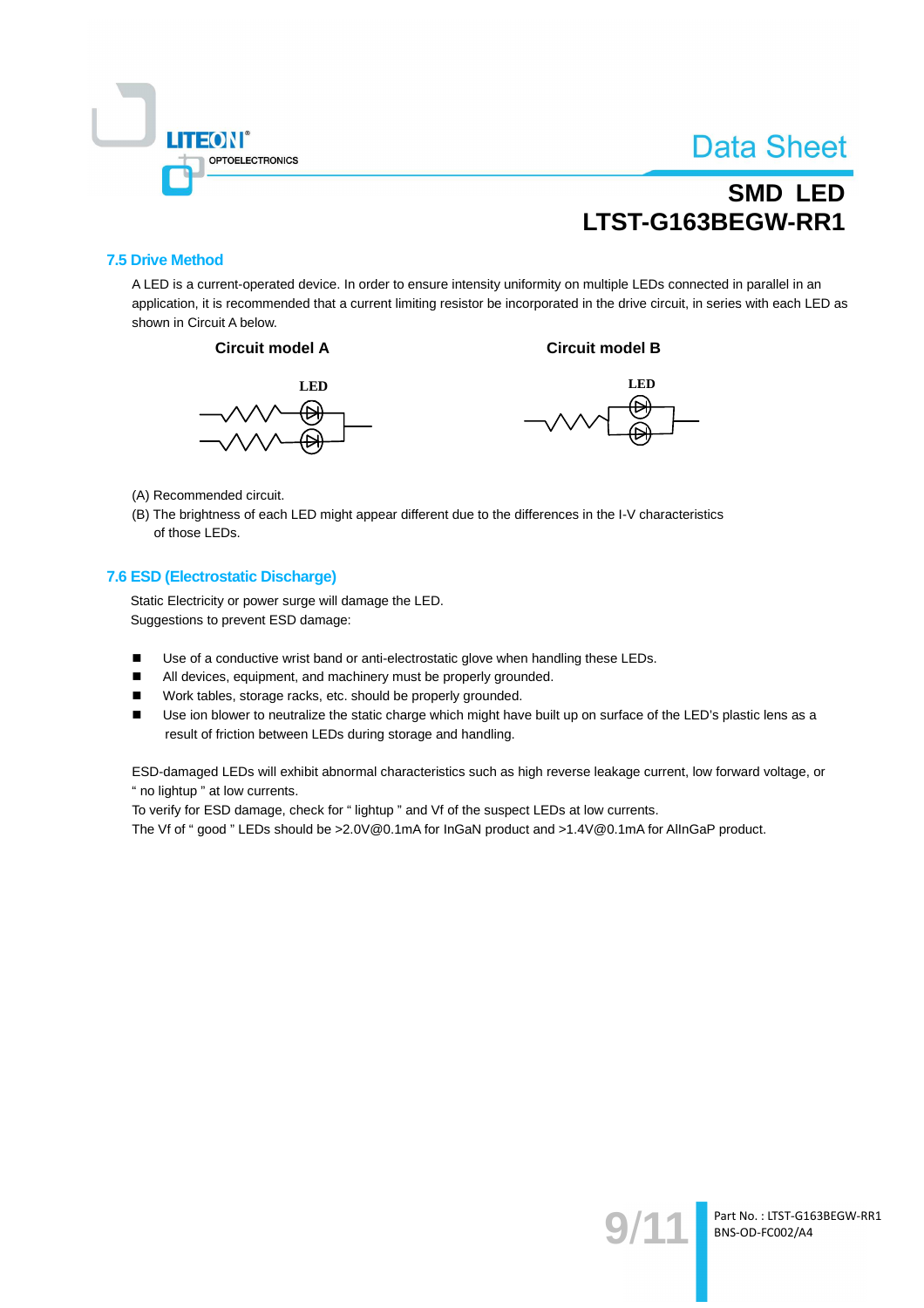

# **SMD LED** LTST-G163BEGW-RR1

### **7.5 Drive Method**

A LED is a current-operated device. In order to ensure intensity uniformity on multiple LEDs connected in parallel in an application, it is recommended that a current limiting resistor be incorporated in the drive circuit, in series with each LED as shown in Circuit A below.







**Circuit model B** 

- (A) Recommended circuit.
- (B) The brightness of each LED might appear different due to the differences in the I-V characteristics of those LEDs.

### 7.6 ESD (Electrostatic Discharge)

Static Electricity or power surge will damage the LED. Suggestions to prevent ESD damage:

- $\blacksquare$ Use of a conductive wrist band or anti-electrostatic glove when handling these LEDs.
- $\blacksquare$ All devices, equipment, and machinery must be properly grounded.
- Work tables, storage racks, etc. should be properly grounded.  $\blacksquare$
- $\blacksquare$ Use ion blower to neutralize the static charge which might have built up on surface of the LED's plastic lens as a result of friction between LEDs during storage and handling.

ESD-damaged LEDs will exhibit abnormal characteristics such as high reverse leakage current, low forward voltage, or " no lightup " at low currents.

To verify for ESD damage, check for "lightup " and Vf of the suspect LEDs at low currents.

The Vf of "good " LEDs should be >2.0V@0.1mA for InGaN product and >1.4V@0.1mA for AlInGaP product.

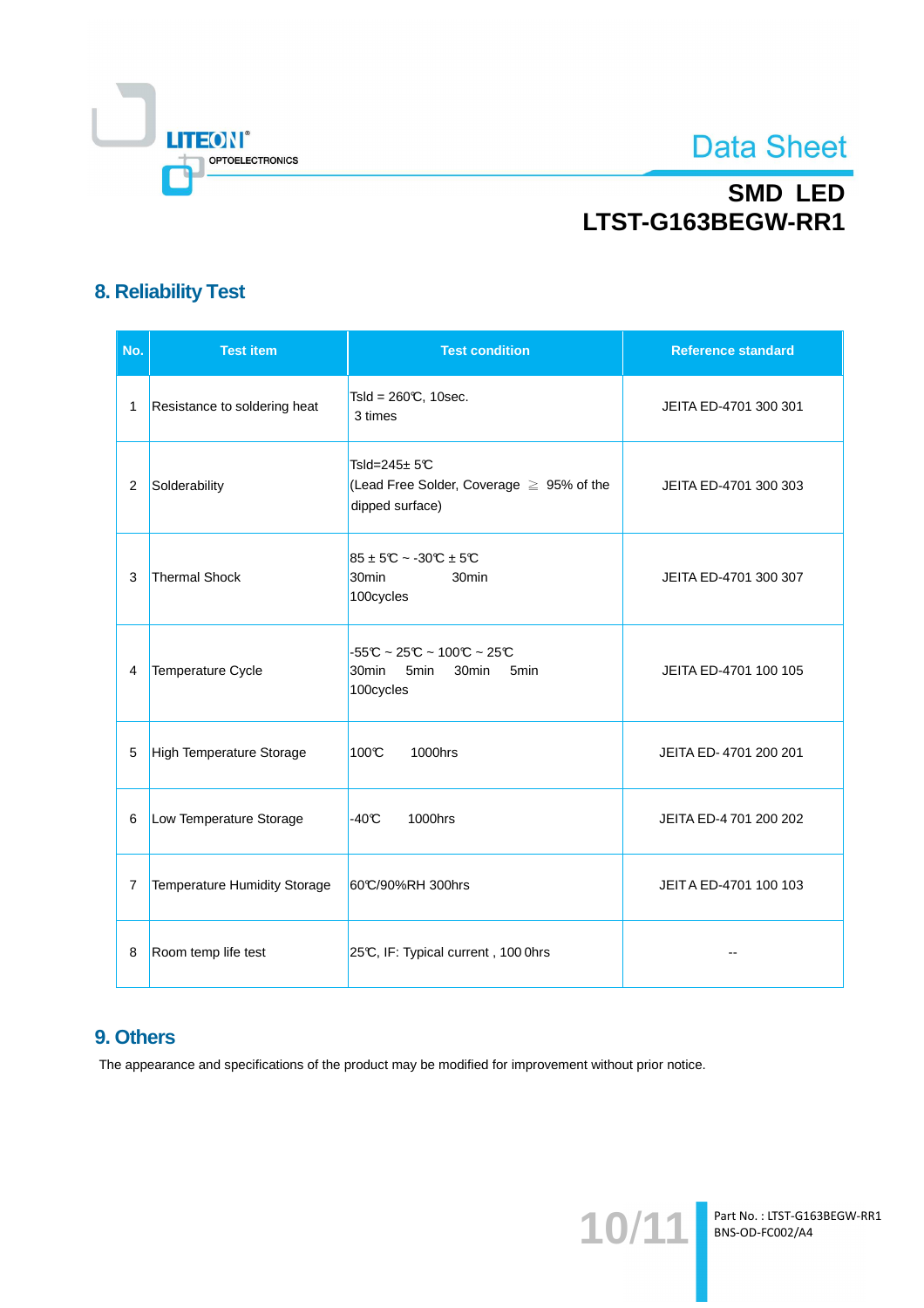

# **SMD LED** LTST-G163BEGW-RR1

## **8. Reliability Test**

| No.            | <b>Test item</b>                    | <b>Test condition</b>                                                                                                             | <b>Reference standard</b> |
|----------------|-------------------------------------|-----------------------------------------------------------------------------------------------------------------------------------|---------------------------|
| 1              | Resistance to soldering heat        | Tsld = $260C$ , 10sec.<br>3 times                                                                                                 | JEITA ED-4701 300 301     |
| $\overline{2}$ | Solderability                       | Tsld= $245 \pm 5C$<br>(Lead Free Solder, Coverage ≥ 95% of the<br>dipped surface)                                                 | JEITA ED-4701 300 303     |
| 3              | Thermal Shock                       | $85 \pm 5$ °C ~ -30°C $\pm 5$ °C<br>30 <sub>min</sub><br>30 <sub>min</sub><br>100cycles                                           | JEITA ED-4701 300 307     |
| 4              | Temperature Cycle                   | $-55C \sim 25C \sim 100C \sim 25C$<br>30 <sub>min</sub><br>5 <sub>min</sub><br>30 <sub>min</sub><br>5 <sub>min</sub><br>100cycles | JEITA ED-4701 100 105     |
| 5              | High Temperature Storage            | 100°C<br>1000hrs                                                                                                                  | JEITA ED-4701 200 201     |
| 6              | Low Temperature Storage             | $-40C$<br>1000hrs                                                                                                                 | JEITA ED-4 701 200 202    |
| 7              | <b>Temperature Humidity Storage</b> | 60°C/90%RH 300hrs                                                                                                                 | JEITA ED-4701 100 103     |
| 8              | Room temp life test                 | 25°C, IF: Typical current, 100 0hrs                                                                                               | $-$                       |

## 9. Others

The appearance and specifications of the product may be modified for improvement without prior notice.